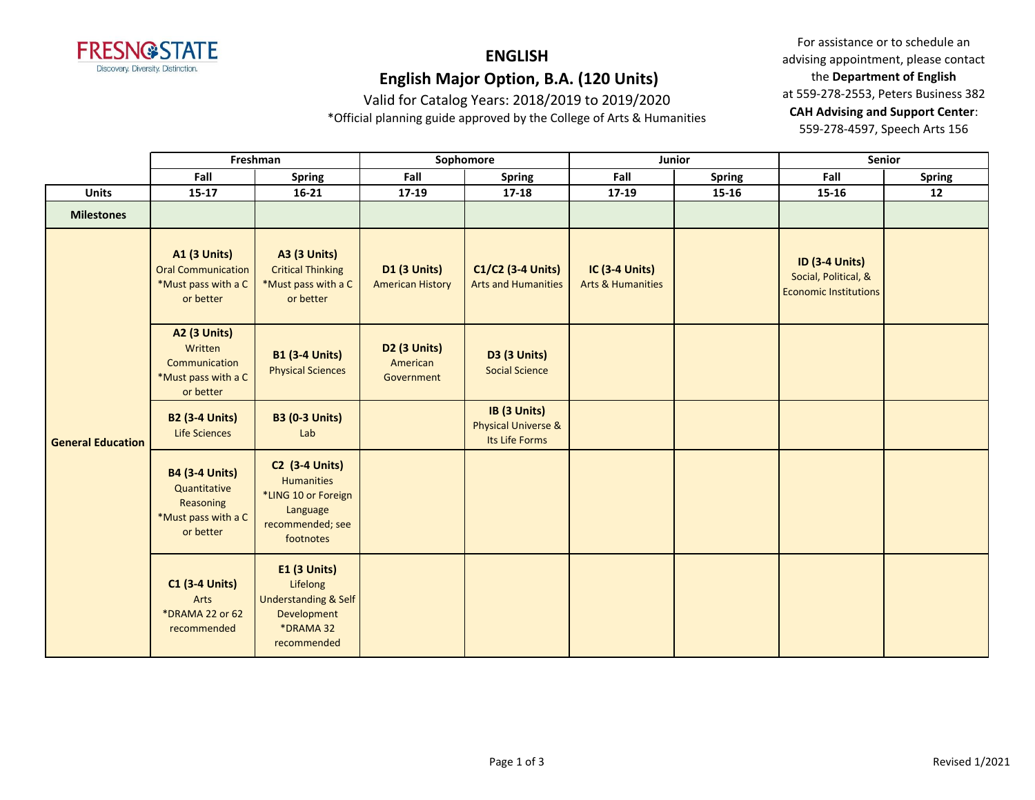

Valid for Catalog Years: 2018/2019 to 2019/2020

\*Official planning guide approved by the College of Arts & Humanities

For assistance or to schedule an advising appointment, please contact the **Department of English** at 559-278-2553, Peters Business 382 **CAH Advising and Support Center**: 559-278-4597, Speech Arts 156

|                          | Freshman                                                                               |                                                                                                                | Sophomore                                      |                                                                  |                                                       | Junior        | Senior                                                                        |               |
|--------------------------|----------------------------------------------------------------------------------------|----------------------------------------------------------------------------------------------------------------|------------------------------------------------|------------------------------------------------------------------|-------------------------------------------------------|---------------|-------------------------------------------------------------------------------|---------------|
|                          | Fall                                                                                   | <b>Spring</b>                                                                                                  | Fall                                           | <b>Spring</b>                                                    | Fall                                                  | <b>Spring</b> | Fall                                                                          | <b>Spring</b> |
| <b>Units</b>             | $15 - 17$                                                                              | $16 - 21$                                                                                                      | 17-19                                          | $17 - 18$                                                        | 17-19                                                 | 15-16         | $15 - 16$                                                                     | 12            |
| <b>Milestones</b>        |                                                                                        |                                                                                                                |                                                |                                                                  |                                                       |               |                                                                               |               |
| <b>General Education</b> | <b>A1 (3 Units)</b><br><b>Oral Communication</b><br>*Must pass with a C<br>or better   | <b>A3 (3 Units)</b><br><b>Critical Thinking</b><br>*Must pass with a C<br>or better                            | <b>D1 (3 Units)</b><br><b>American History</b> | C1/C2 (3-4 Units)<br><b>Arts and Humanities</b>                  | <b>IC (3-4 Units)</b><br><b>Arts &amp; Humanities</b> |               | <b>ID (3-4 Units)</b><br>Social, Political, &<br><b>Economic Institutions</b> |               |
|                          | <b>A2 (3 Units)</b><br>Written<br>Communication<br>*Must pass with a C<br>or better    | <b>B1 (3-4 Units)</b><br><b>Physical Sciences</b>                                                              | D2 (3 Units)<br>American<br>Government         | <b>D3 (3 Units)</b><br><b>Social Science</b>                     |                                                       |               |                                                                               |               |
|                          | <b>B2 (3-4 Units)</b><br>Life Sciences                                                 | <b>B3 (0-3 Units)</b><br>Lab                                                                                   |                                                | IB (3 Units)<br><b>Physical Universe &amp;</b><br>Its Life Forms |                                                       |               |                                                                               |               |
|                          | <b>B4 (3-4 Units)</b><br>Quantitative<br>Reasoning<br>*Must pass with a C<br>or better | <b>C2 (3-4 Units)</b><br><b>Humanities</b><br>*LING 10 or Foreign<br>Language<br>recommended; see<br>footnotes |                                                |                                                                  |                                                       |               |                                                                               |               |
|                          | <b>C1 (3-4 Units)</b><br>Arts<br>*DRAMA 22 or 62<br>recommended                        | <b>E1 (3 Units)</b><br>Lifelong<br><b>Understanding &amp; Self</b><br>Development<br>*DRAMA 32<br>recommended  |                                                |                                                                  |                                                       |               |                                                                               |               |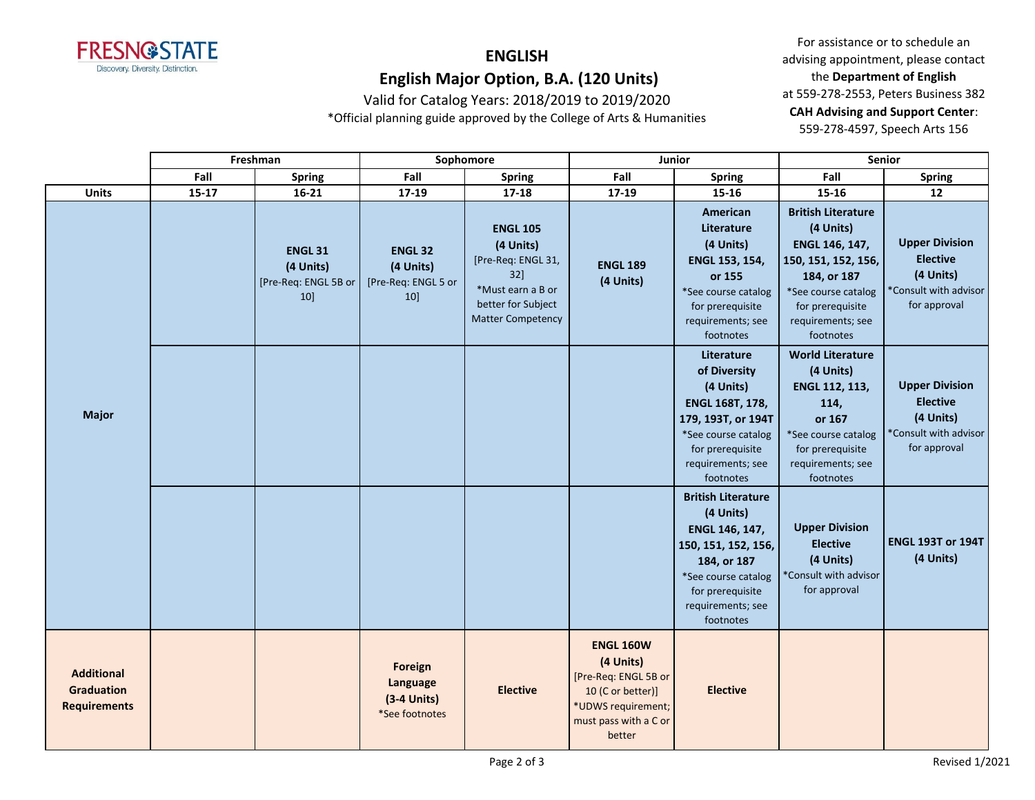

Valid for Catalog Years: 2018/2019 to 2019/2020

\*Official planning guide approved by the College of Arts & Humanities

For assistance or to schedule an advising appointment, please contact the **Department of English** at 559-278-2553, Peters Business 382 **CAH Advising and Support Center**: 559-278-4597, Speech Arts 156

|                                                               | Freshman |                                                           | Sophomore                                                |                                                                                                                                  | Junior                                                                                                                              |                                                                                                                                                                             | Senior                                                                                                                                                                      |                                                                                                |
|---------------------------------------------------------------|----------|-----------------------------------------------------------|----------------------------------------------------------|----------------------------------------------------------------------------------------------------------------------------------|-------------------------------------------------------------------------------------------------------------------------------------|-----------------------------------------------------------------------------------------------------------------------------------------------------------------------------|-----------------------------------------------------------------------------------------------------------------------------------------------------------------------------|------------------------------------------------------------------------------------------------|
|                                                               | Fall     | <b>Spring</b>                                             | Fall                                                     | <b>Spring</b>                                                                                                                    | Fall                                                                                                                                | <b>Spring</b>                                                                                                                                                               | Fall                                                                                                                                                                        | <b>Spring</b>                                                                                  |
| <b>Units</b>                                                  | $15-17$  | $16 - 21$                                                 | 17-19                                                    | $17 - 18$                                                                                                                        | 17-19                                                                                                                               | 15-16                                                                                                                                                                       | $15 - 16$                                                                                                                                                                   | 12                                                                                             |
| <b>Major</b>                                                  |          | <b>ENGL 31</b><br>(4 Units)<br>[Pre-Req: ENGL 5B or<br>10 | <b>ENGL 32</b><br>(4 Units)<br>[Pre-Req: ENGL 5 or<br>10 | <b>ENGL 105</b><br>(4 Units)<br>[Pre-Req: ENGL 31,<br>32]<br>*Must earn a B or<br>better for Subject<br><b>Matter Competency</b> | <b>ENGL 189</b><br>(4 Units)                                                                                                        | American<br>Literature<br>(4 Units)<br>ENGL 153, 154,<br>or 155<br>*See course catalog<br>for prerequisite<br>requirements; see<br>footnotes                                | <b>British Literature</b><br>(4 Units)<br>ENGL 146, 147,<br>150, 151, 152, 156,<br>184, or 187<br>*See course catalog<br>for prerequisite<br>requirements; see<br>footnotes | <b>Upper Division</b><br><b>Elective</b><br>(4 Units)<br>*Consult with advisor<br>for approval |
|                                                               |          |                                                           |                                                          |                                                                                                                                  |                                                                                                                                     | Literature<br>of Diversity<br>(4 Units)<br><b>ENGL 168T, 178,</b><br>179, 193T, or 194T<br>*See course catalog<br>for prerequisite<br>requirements; see<br>footnotes        | <b>World Literature</b><br>(4 Units)<br>ENGL 112, 113,<br>114,<br>or 167<br>*See course catalog<br>for prerequisite<br>requirements; see<br>footnotes                       | <b>Upper Division</b><br><b>Elective</b><br>(4 Units)<br>*Consult with advisor<br>for approval |
|                                                               |          |                                                           |                                                          |                                                                                                                                  |                                                                                                                                     | <b>British Literature</b><br>(4 Units)<br>ENGL 146, 147,<br>150, 151, 152, 156,<br>184, or 187<br>*See course catalog<br>for prerequisite<br>requirements; see<br>footnotes | <b>Upper Division</b><br><b>Elective</b><br>(4 Units)<br>*Consult with advisor<br>for approval                                                                              | <b>ENGL 193T or 194T</b><br>(4 Units)                                                          |
| <b>Additional</b><br><b>Graduation</b><br><b>Requirements</b> |          |                                                           | Foreign<br>Language<br>$(3-4$ Units)<br>*See footnotes   | <b>Elective</b>                                                                                                                  | <b>ENGL 160W</b><br>(4 Units)<br>[Pre-Req: ENGL 5B or<br>10 (C or better)]<br>*UDWS requirement;<br>must pass with a C or<br>better | <b>Elective</b>                                                                                                                                                             |                                                                                                                                                                             |                                                                                                |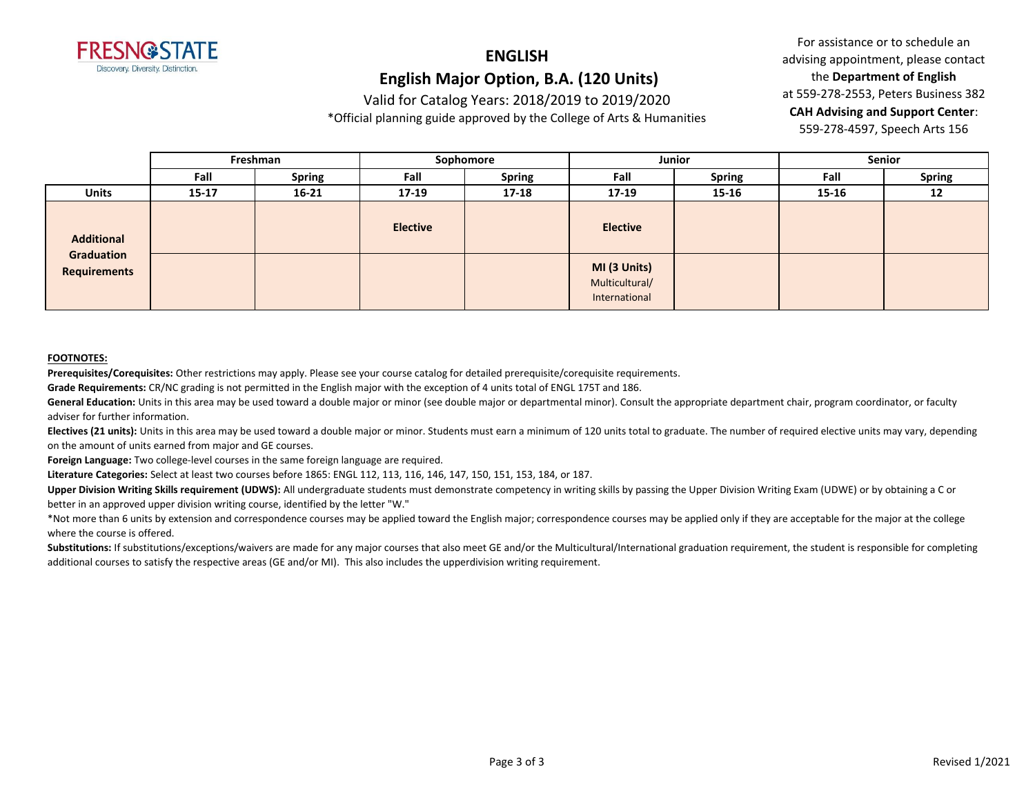

Valid for Catalog Years: 2018/2019 to 2019/2020

\*Official planning guide approved by the College of Arts & Humanities

For assistance or to schedule an advising appointment, please contact the **Department of English** at 559-278-2553, Peters Business 382 **CAH Advising and Support Center**: 559-278-4597, Speech Arts 156

|                                                        | Freshman  |               | Sophomore       |               | Junior                                          |               | <b>Senior</b> |               |
|--------------------------------------------------------|-----------|---------------|-----------------|---------------|-------------------------------------------------|---------------|---------------|---------------|
|                                                        | Fall      | <b>Spring</b> | Fall            | <b>Spring</b> | Fall                                            | <b>Spring</b> | Fall          | <b>Spring</b> |
| <b>Units</b>                                           | $15 - 17$ | $16 - 21$     | $17 - 19$       | $17 - 18$     | $17 - 19$                                       | 15-16         | 15-16         | 12            |
| <b>Additional</b><br>Graduation<br><b>Requirements</b> |           |               | <b>Elective</b> |               | <b>Elective</b>                                 |               |               |               |
|                                                        |           |               |                 |               | MI (3 Units)<br>Multicultural/<br>International |               |               |               |

#### **FOOTNOTES:**

**Prerequisites/Corequisites:** Other restrictions may apply. Please see your course catalog for detailed prerequisite/corequisite requirements.

**Grade Requirements:** CR/NC grading is not permitted in the English major with the exception of 4 units total of ENGL 175T and 186.

General Education: Units in this area may be used toward a double major or minor (see double major or departmental minor). Consult the appropriate department chair, program coordinator, or faculty adviser for further information.

Electives (21 units): Units in this area may be used toward a double major or minor. Students must earn a minimum of 120 units total to graduate. The number of required elective units may vary, depending on the amount of units earned from major and GE courses.

**Foreign Language:** Two college-level courses in the same foreign language are required.

**Literature Categories:** Select at least two courses before 1865: ENGL 112, 113, 116, 146, 147, 150, 151, 153, 184, or 187.

**Upper Division Writing Skills requirement (UDWS):** All undergraduate students must demonstrate competency in writing skills by passing the Upper Division Writing Exam (UDWE) or by obtaining a C or better in an approved upper division writing course, identified by the letter "W."

\*Not more than 6 units by extension and correspondence courses may be applied toward the English major; correspondence courses may be applied only if they are acceptable for the major at the college where the course is offered.

Substitutions: If substitutions/exceptions/waivers are made for any major courses that also meet GE and/or the Multicultural/International graduation requirement, the student is responsible for completing additional courses to satisfy the respective areas (GE and/or MI). This also includes the upperdivision writing requirement.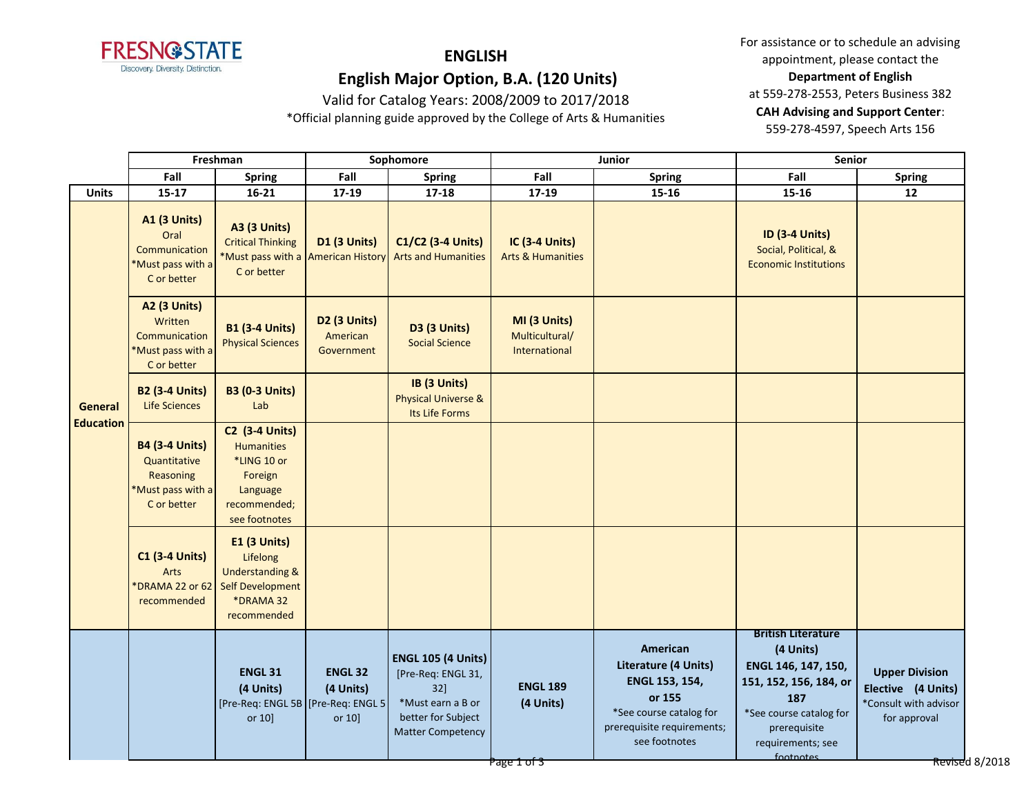

# **ENGLISH**

 **English Major Option, B.A. (120 Units)**

Valid for Catalog Years: 2008/2009 to 2017/2018 \*Official planning guide approved by the College of Arts & Humanities For assistance or to schedule an advising appointment, please contact the **Department of English** at 559-278-2553, Peters Business 382 **CAH Advising and Support Center**: 559-278-4597, Speech Arts 156

**Fall Spring Fall Spring Fall Spring Fall Spring Units 15-17 16-21 17-19 17-18 17-19 15-16 15-16 12 A1 (3 Units)** Oral **Communication** \*Must pass with a C or better **A3 (3 Units)** Critical Thinking \*Must pass with a C or better **D1 (3 Units)** American History **C1/C2 (3-4 Units)** Arts and Humanities **IC (3-4 Units)** Arts & Humanities **ID (3-4 Units)** Social, Political, & Economic Institutions **A2 (3 Units) Written** Communication \*Must pass with a C or better **B1 (3-4 Units)** Physical Sciences **D2 (3 Units)** American Government **D3 (3 Units)** Social Science **MI (3 Units)** Multicultural/ International **B2 (3-4 Units)** Life Sciences **B3 (0-3 Units)** Lab **IB (3 Units)** Physical Universe & Its Life Forms **B4 (3-4 Units) Quantitative** Reasoning \*Must pass with a C or better **C2 (3-4 Units)** Humanities \*LING 10 or Foreign Language recommended; see footnotes **C1 (3-4 Units)** Arts \*DRAMA 22 or 62 recommended **E1 (3 Units)** Lifelong Understanding & Self Development \*DRAMA 32 recommended **ENGL 31 (4 Units)** [Pre-Req: ENGL 5B [Pre-Req: ENGL 5 or 10] **ENGL 32 (4 Units)** or 10] **ENGL 105 (4 Units)** [Pre-Req: ENGL 31, 32] \*Must earn a B or better for Subject Matter Competency **ENGL 189 (4 Units) American Literature (4 Units) ENGL 153, 154, or 155** \*See course catalog for prerequisite requirements; see footnotes **British Literature (4 Units) ENGL 146, 147, 150, 151, 152, 156, 184, or 187** \*See course catalog for prerequisite requirements; see footnotes **Upper Division Elective (4 Units)** \*Consult with advisor for approval **General Education Freshman Sophomore Junior Senior** Page 1 of 3 Revised 8/2018 **Page 1 of 1 April 2018** Apple 1 of 3 Revised 8/2018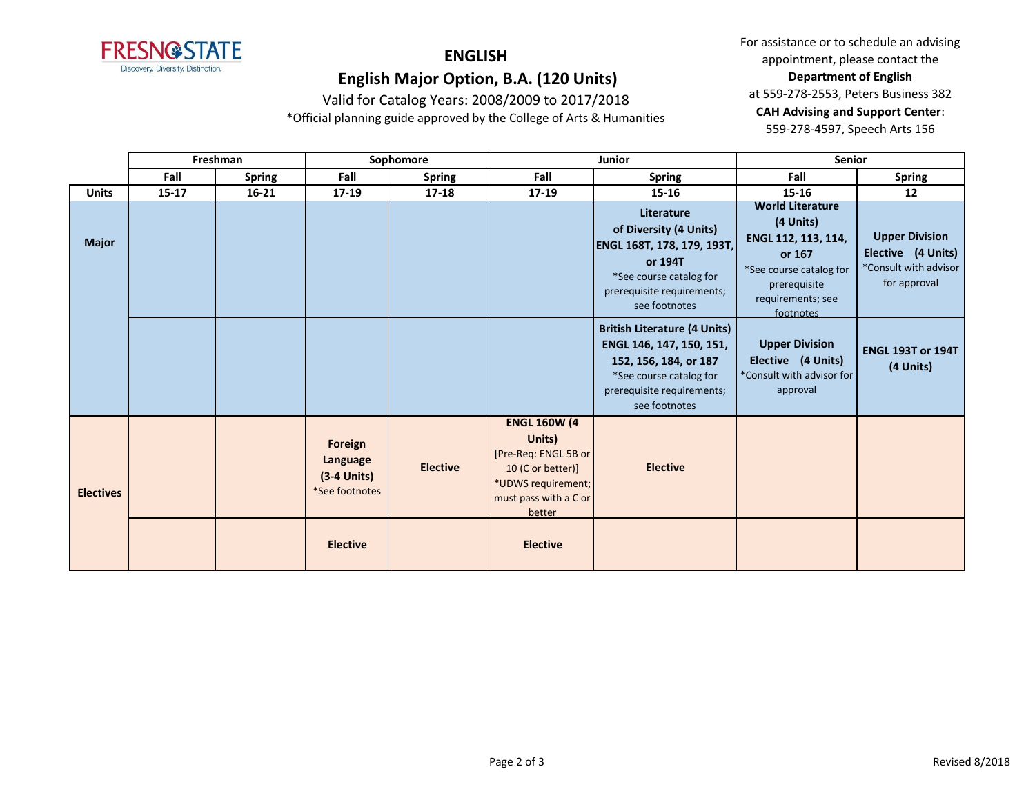

For assistance or to schedule an advising appointment, please contact the **Department of English** at 559-278-2553, Peters Business 382 **CAH Advising and Support Center**: 559-278-4597, Speech Arts 156

Valid for Catalog Years: 2008/2009 to 2017/2018 \*Official planning guide approved by the College of Arts & Humanities

|                  | Freshman  |               | Sophomore                                              |                 |                                                                                                                                     | <b>Junior</b>                                                                                                                                                      | <b>Senior</b>                                                                                                                                      |                                                                                      |
|------------------|-----------|---------------|--------------------------------------------------------|-----------------|-------------------------------------------------------------------------------------------------------------------------------------|--------------------------------------------------------------------------------------------------------------------------------------------------------------------|----------------------------------------------------------------------------------------------------------------------------------------------------|--------------------------------------------------------------------------------------|
|                  | Fall      | <b>Spring</b> | Fall                                                   | <b>Spring</b>   | Fall                                                                                                                                | <b>Spring</b>                                                                                                                                                      | Fall                                                                                                                                               | <b>Spring</b>                                                                        |
| <b>Units</b>     | $15 - 17$ | $16 - 21$     | $17-19$                                                | $17 - 18$       | 17-19                                                                                                                               | $15 - 16$                                                                                                                                                          | $15 - 16$                                                                                                                                          | 12                                                                                   |
| <b>Major</b>     |           |               |                                                        |                 |                                                                                                                                     | Literature<br>of Diversity (4 Units)<br>ENGL 168T, 178, 179, 193T,<br>or 194T<br>*See course catalog for<br>prerequisite requirements;<br>see footnotes            | <b>World Literature</b><br>(4 Units)<br>ENGL 112, 113, 114,<br>or 167<br>*See course catalog for<br>prerequisite<br>requirements; see<br>footnotes | <b>Upper Division</b><br>Elective (4 Units)<br>*Consult with advisor<br>for approval |
|                  |           |               |                                                        |                 |                                                                                                                                     | <b>British Literature (4 Units)</b><br>ENGL 146, 147, 150, 151,<br>152, 156, 184, or 187<br>*See course catalog for<br>prerequisite requirements;<br>see footnotes | <b>Upper Division</b><br>Elective (4 Units)<br>*Consult with advisor for<br>approval                                                               | <b>ENGL 193T or 194T</b><br>(4 Units)                                                |
| <b>Electives</b> |           |               | Foreign<br>Language<br>$(3-4$ Units)<br>*See footnotes | <b>Elective</b> | <b>ENGL 160W (4</b><br>Units)<br>[Pre-Req: ENGL 5B or<br>10 (C or better)]<br>*UDWS requirement;<br>must pass with a C or<br>better | <b>Elective</b>                                                                                                                                                    |                                                                                                                                                    |                                                                                      |
|                  |           |               | <b>Elective</b>                                        |                 | <b>Elective</b>                                                                                                                     |                                                                                                                                                                    |                                                                                                                                                    |                                                                                      |